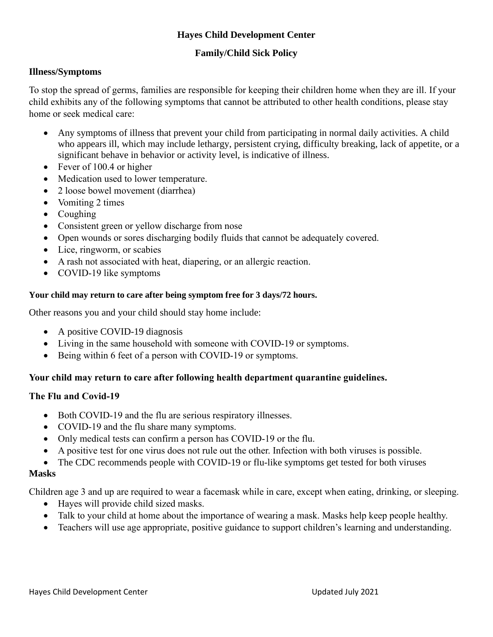# **Hayes Child Development Center**

# **Family/Child Sick Policy**

### **Illness/Symptoms**

To stop the spread of germs, families are responsible for keeping their children home when they are ill. If your child exhibits any of the following symptoms that cannot be attributed to other health conditions, please stay home or seek medical care:

- Any symptoms of illness that prevent your child from participating in normal daily activities. A child who appears ill, which may include lethargy, persistent crying, difficulty breaking, lack of appetite, or a significant behave in behavior or activity level, is indicative of illness.
- Fever of 100.4 or higher
- Medication used to lower temperature.
- 2 loose bowel movement (diarrhea)
- Vomiting 2 times
- Coughing
- Consistent green or yellow discharge from nose
- Open wounds or sores discharging bodily fluids that cannot be adequately covered.
- Lice, ringworm, or scabies
- A rash not associated with heat, diapering, or an allergic reaction.
- COVID-19 like symptoms

#### **Your child may return to care after being symptom free for 3 days/72 hours.**

Other reasons you and your child should stay home include:

- A positive COVID-19 diagnosis
- Living in the same household with someone with COVID-19 or symptoms.
- Being within 6 feet of a person with COVID-19 or symptoms.

## **Your child may return to care after following health department quarantine guidelines.**

## **The Flu and Covid-19**

- Both COVID-19 and the flu are serious respiratory illnesses.
- COVID-19 and the flu share many symptoms.
- Only medical tests can confirm a person has COVID-19 or the flu.
- A positive test for one virus does not rule out the other. Infection with both viruses is possible.
- The CDC recommends people with COVID-19 or flu-like symptoms get tested for both viruses

#### **Masks**

Children age 3 and up are required to wear a facemask while in care, except when eating, drinking, or sleeping.

- Hayes will provide child sized masks.
- Talk to your child at home about the importance of wearing a mask. Masks help keep people healthy.
- Teachers will use age appropriate, positive guidance to support children's learning and understanding.